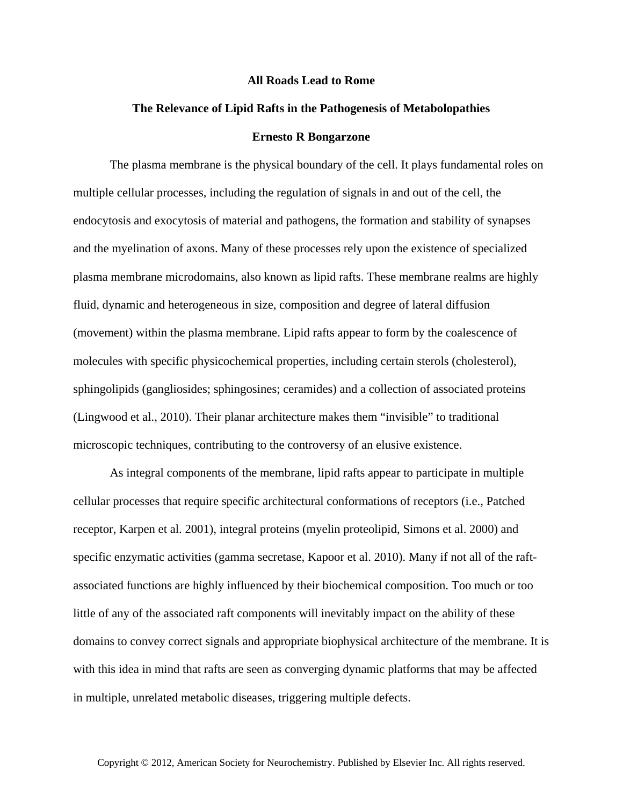## **All Roads Lead to Rome**

## **The Relevance of Lipid Rafts in the Pathogenesis of Metabolopathies Ernesto R Bongarzone**

The plasma membrane is the physical boundary of the cell. It plays fundamental roles on multiple cellular processes, including the regulation of signals in and out of the cell, the endocytosis and exocytosis of material and pathogens, the formation and stability of synapses and the myelination of axons. Many of these processes rely upon the existence of specialized plasma membrane microdomains, also known as lipid rafts. These membrane realms are highly fluid, dynamic and heterogeneous in size, composition and degree of lateral diffusion (movement) within the plasma membrane. Lipid rafts appear to form by the coalescence of molecules with specific physicochemical properties, including certain sterols (cholesterol), sphingolipids (gangliosides; sphingosines; ceramides) and a collection of associated proteins (Lingwood et al., 2010). Their planar architecture makes them "invisible" to traditional microscopic techniques, contributing to the controversy of an elusive existence.

As integral components of the membrane, lipid rafts appear to participate in multiple cellular processes that require specific architectural conformations of receptors (i.e., Patched receptor, Karpen et al. 2001), integral proteins (myelin proteolipid, Simons et al. 2000) and specific enzymatic activities (gamma secretase, Kapoor et al. 2010). Many if not all of the raftassociated functions are highly influenced by their biochemical composition. Too much or too little of any of the associated raft components will inevitably impact on the ability of these domains to convey correct signals and appropriate biophysical architecture of the membrane. It is with this idea in mind that rafts are seen as converging dynamic platforms that may be affected in multiple, unrelated metabolic diseases, triggering multiple defects.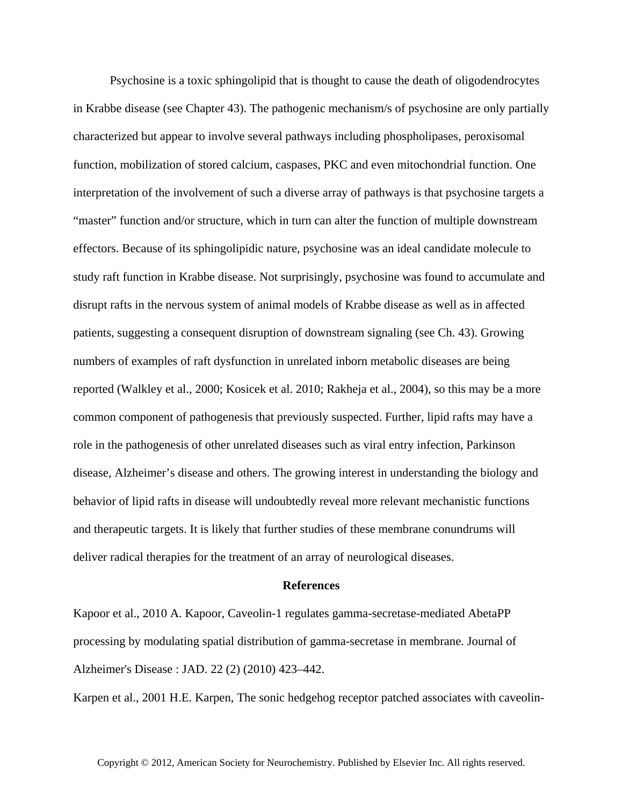Psychosine is a toxic sphingolipid that is thought to cause the death of oligodendrocytes in Krabbe disease (see Chapter 43). The pathogenic mechanism/s of psychosine are only partially characterized but appear to involve several pathways including phospholipases, peroxisomal function, mobilization of stored calcium, caspases, PKC and even mitochondrial function. One interpretation of the involvement of such a diverse array of pathways is that psychosine targets a "master" function and/or structure, which in turn can alter the function of multiple downstream effectors. Because of its sphingolipidic nature, psychosine was an ideal candidate molecule to study raft function in Krabbe disease. Not surprisingly, psychosine was found to accumulate and disrupt rafts in the nervous system of animal models of Krabbe disease as well as in affected patients, suggesting a consequent disruption of downstream signaling (see Ch. 43). Growing numbers of examples of raft dysfunction in unrelated inborn metabolic diseases are being reported (Walkley et al., 2000; Kosicek et al. 2010; Rakheja et al., 2004), so this may be a more common component of pathogenesis that previously suspected. Further, lipid rafts may have a role in the pathogenesis of other unrelated diseases such as viral entry infection, Parkinson disease, Alzheimer's disease and others. The growing interest in understanding the biology and behavior of lipid rafts in disease will undoubtedly reveal more relevant mechanistic functions and therapeutic targets. It is likely that further studies of these membrane conundrums will deliver radical therapies for the treatment of an array of neurological diseases.

## **References**

Kapoor et al., 2010 A. Kapoor, Caveolin-1 regulates gamma-secretase-mediated AbetaPP processing by modulating spatial distribution of gamma-secretase in membrane. Journal of Alzheimer's Disease : JAD. 22 (2) (2010) 423–442.

Karpen et al., 2001 H.E. Karpen, The sonic hedgehog receptor patched associates with caveolin-